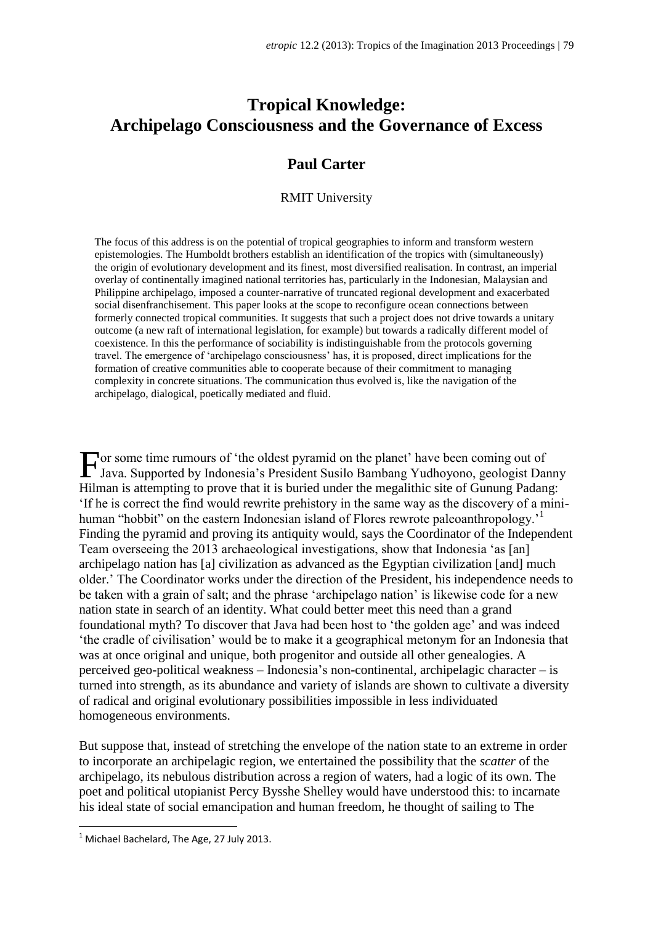## **Tropical Knowledge: Archipelago Consciousness and the Governance of Excess**

## **Paul Carter**

## RMIT University

The focus of this address is on the potential of tropical geographies to inform and transform western epistemologies. The Humboldt brothers establish an identification of the tropics with (simultaneously) the origin of evolutionary development and its finest, most diversified realisation. In contrast, an imperial overlay of continentally imagined national territories has, particularly in the Indonesian, Malaysian and Philippine archipelago, imposed a counter-narrative of truncated regional development and exacerbated social disenfranchisement. This paper looks at the scope to reconfigure ocean connections between formerly connected tropical communities. It suggests that such a project does not drive towards a unitary outcome (a new raft of international legislation, for example) but towards a radically different model of coexistence. In this the performance of sociability is indistinguishable from the protocols governing travel. The emergence of 'archipelago consciousness' has, it is proposed, direct implications for the formation of creative communities able to cooperate because of their commitment to managing complexity in concrete situations. The communication thus evolved is, like the navigation of the archipelago, dialogical, poetically mediated and fluid.

or some time rumours of 'the oldest pyramid on the planet' have been coming out of For some time rumours of 'the oldest pyramid on the planet' have been coming out of Java. Supported by Indonesia's President Susilo Bambang Yudhoyono, geologist Danny Hilman is attempting to prove that it is buried under the megalithic site of Gunung Padang: 'If he is correct the find would rewrite prehistory in the same way as the discovery of a minihuman "hobbit" on the eastern Indonesian island of Flores rewrote paleoanthropology.<sup>1</sup> Finding the pyramid and proving its antiquity would, says the Coordinator of the Independent Team overseeing the 2013 archaeological investigations, show that Indonesia 'as [an] archipelago nation has [a] civilization as advanced as the Egyptian civilization [and] much older.' The Coordinator works under the direction of the President, his independence needs to be taken with a grain of salt; and the phrase 'archipelago nation' is likewise code for a new nation state in search of an identity. What could better meet this need than a grand foundational myth? To discover that Java had been host to 'the golden age' and was indeed 'the cradle of civilisation' would be to make it a geographical metonym for an Indonesia that was at once original and unique, both progenitor and outside all other genealogies. A perceived geo-political weakness – Indonesia's non-continental, archipelagic character – is turned into strength, as its abundance and variety of islands are shown to cultivate a diversity of radical and original evolutionary possibilities impossible in less individuated homogeneous environments.

But suppose that, instead of stretching the envelope of the nation state to an extreme in order to incorporate an archipelagic region, we entertained the possibility that the *scatter* of the archipelago, its nebulous distribution across a region of waters, had a logic of its own. The poet and political utopianist Percy Bysshe Shelley would have understood this: to incarnate his ideal state of social emancipation and human freedom, he thought of sailing to The

 $\overline{a}$ 

 $1$  Michael Bachelard, The Age, 27 July 2013.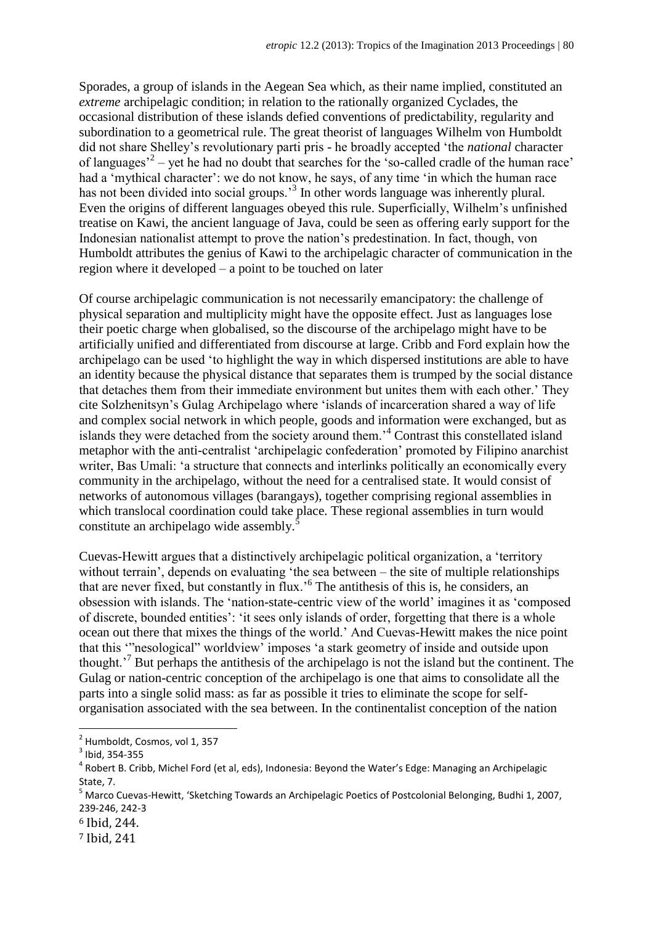Sporades, a group of islands in the Aegean Sea which, as their name implied, constituted an *extreme* archipelagic condition; in relation to the rationally organized Cyclades, the occasional distribution of these islands defied conventions of predictability, regularity and subordination to a geometrical rule. The great theorist of languages Wilhelm von Humboldt did not share Shelley's revolutionary parti pris - he broadly accepted 'the *national* character of languages<sup> $2$ </sup> – yet he had no doubt that searches for the 'so-called cradle of the human race' had a 'mythical character': we do not know, he says, of any time 'in which the human race has not been divided into social groups.<sup>3</sup> In other words language was inherently plural. Even the origins of different languages obeyed this rule. Superficially, Wilhelm's unfinished treatise on Kawi, the ancient language of Java, could be seen as offering early support for the Indonesian nationalist attempt to prove the nation's predestination. In fact, though, von Humboldt attributes the genius of Kawi to the archipelagic character of communication in the region where it developed – a point to be touched on later

Of course archipelagic communication is not necessarily emancipatory: the challenge of physical separation and multiplicity might have the opposite effect. Just as languages lose their poetic charge when globalised, so the discourse of the archipelago might have to be artificially unified and differentiated from discourse at large. Cribb and Ford explain how the archipelago can be used 'to highlight the way in which dispersed institutions are able to have an identity because the physical distance that separates them is trumped by the social distance that detaches them from their immediate environment but unites them with each other.' They cite Solzhenitsyn's Gulag Archipelago where 'islands of incarceration shared a way of life and complex social network in which people, goods and information were exchanged, but as islands they were detached from the society around them.'<sup>4</sup> Contrast this constellated island metaphor with the anti-centralist 'archipelagic confederation' promoted by Filipino anarchist writer, Bas Umali: 'a structure that connects and interlinks politically an economically every community in the archipelago, without the need for a centralised state. It would consist of networks of autonomous villages (barangays), together comprising regional assemblies in which translocal coordination could take place. These regional assemblies in turn would constitute an archipelago wide assembly.<sup>5</sup>

Cuevas-Hewitt argues that a distinctively archipelagic political organization, a 'territory without terrain', depends on evaluating 'the sea between – the site of multiple relationships that are never fixed, but constantly in flux.'<sup>6</sup> The antithesis of this is, he considers, an obsession with islands. The 'nation-state-centric view of the world' imagines it as 'composed of discrete, bounded entities': 'it sees only islands of order, forgetting that there is a whole ocean out there that mixes the things of the world.' And Cuevas-Hewitt makes the nice point that this '"nesological" worldview' imposes 'a stark geometry of inside and outside upon thought.<sup>7</sup> But perhaps the antithesis of the archipelago is not the island but the continent. The Gulag or nation-centric conception of the archipelago is one that aims to consolidate all the parts into a single solid mass: as far as possible it tries to eliminate the scope for selforganisation associated with the sea between. In the continentalist conception of the nation

<sup>6</sup> Ibid, 244.

 2 Humboldt, Cosmos, vol 1, 357

 $3$  Ibid, 354-355

<sup>4</sup> Robert B. Cribb, Michel Ford (et al, eds), Indonesia: Beyond the Water's Edge: Managing an Archipelagic State, 7.

<sup>5</sup> Marco Cuevas-Hewitt, 'Sketching Towards an Archipelagic Poetics of Postcolonial Belonging, Budhi 1, 2007, 239-246, 242-3

<sup>7</sup> Ibid, 241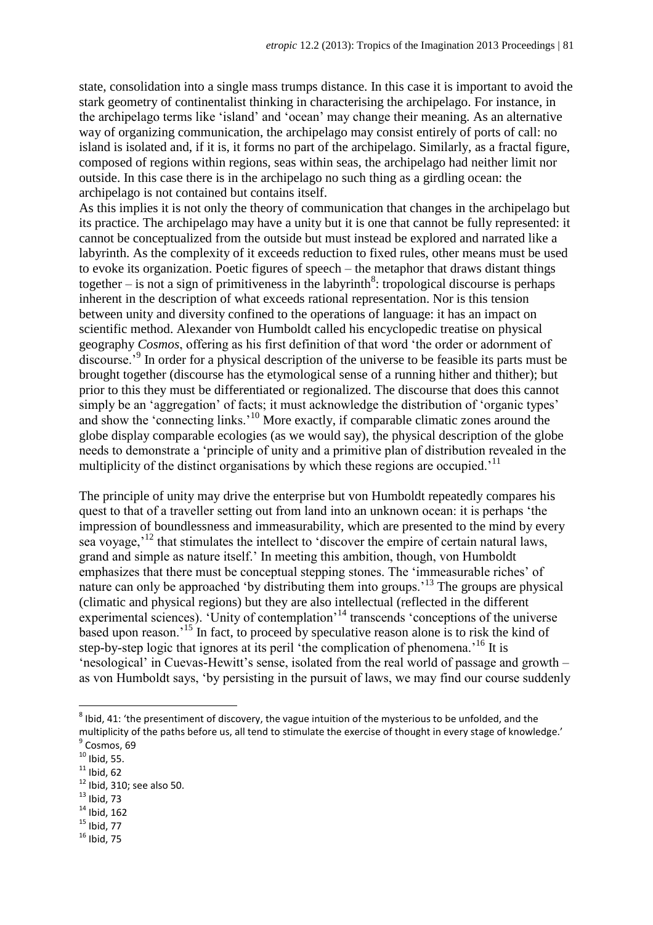state, consolidation into a single mass trumps distance. In this case it is important to avoid the stark geometry of continentalist thinking in characterising the archipelago. For instance, in the archipelago terms like 'island' and 'ocean' may change their meaning. As an alternative way of organizing communication, the archipelago may consist entirely of ports of call: no island is isolated and, if it is, it forms no part of the archipelago. Similarly, as a fractal figure, composed of regions within regions, seas within seas, the archipelago had neither limit nor outside. In this case there is in the archipelago no such thing as a girdling ocean: the archipelago is not contained but contains itself.

As this implies it is not only the theory of communication that changes in the archipelago but its practice. The archipelago may have a unity but it is one that cannot be fully represented: it cannot be conceptualized from the outside but must instead be explored and narrated like a labyrinth. As the complexity of it exceeds reduction to fixed rules, other means must be used to evoke its organization. Poetic figures of speech – the metaphor that draws distant things together  $-$  is not a sign of primitiveness in the labyrinth<sup>8</sup>: tropological discourse is perhaps inherent in the description of what exceeds rational representation. Nor is this tension between unity and diversity confined to the operations of language: it has an impact on scientific method. Alexander von Humboldt called his encyclopedic treatise on physical geography *Cosmos*, offering as his first definition of that word 'the order or adornment of discourse.<sup>9</sup> In order for a physical description of the universe to be feasible its parts must be brought together (discourse has the etymological sense of a running hither and thither); but prior to this they must be differentiated or regionalized. The discourse that does this cannot simply be an 'aggregation' of facts; it must acknowledge the distribution of 'organic types' and show the 'connecting links.'<sup>10</sup> More exactly, if comparable climatic zones around the globe display comparable ecologies (as we would say), the physical description of the globe needs to demonstrate a 'principle of unity and a primitive plan of distribution revealed in the multiplicity of the distinct organisations by which these regions are occupied.<sup>'11</sup>

The principle of unity may drive the enterprise but von Humboldt repeatedly compares his quest to that of a traveller setting out from land into an unknown ocean: it is perhaps 'the impression of boundlessness and immeasurability, which are presented to the mind by every sea voyage,<sup> $12$ </sup> that stimulates the intellect to 'discover the empire of certain natural laws, grand and simple as nature itself.' In meeting this ambition, though, von Humboldt emphasizes that there must be conceptual stepping stones. The 'immeasurable riches' of nature can only be approached 'by distributing them into groups.<sup>13</sup> The groups are physical (climatic and physical regions) but they are also intellectual (reflected in the different experimental sciences). 'Unity of contemplation'<sup>14</sup> transcends 'conceptions of the universe based upon reason.'<sup>15</sup> In fact, to proceed by speculative reason alone is to risk the kind of step-by-step logic that ignores at its peril 'the complication of phenomena.<sup>'16</sup> It is 'nesological' in Cuevas-Hewitt's sense, isolated from the real world of passage and growth – as von Humboldt says, 'by persisting in the pursuit of laws, we may find our course suddenly

 $\frac{11}{10}$  lbid, 62

 $14$  Ibid, 162

 $16$  Ibid, 75

 $^8$  Ibid, 41: 'the presentiment of discovery, the vague intuition of the mysterious to be unfolded, and the multiplicity of the paths before us, all tend to stimulate the exercise of thought in every stage of knowledge.' <sup>9</sup> Cosmos, 69

 $10$  Ibid, 55.

 $12$  Ibid, 310; see also 50.

 $13$  Ibid, 73

 $15$  Ibid, 77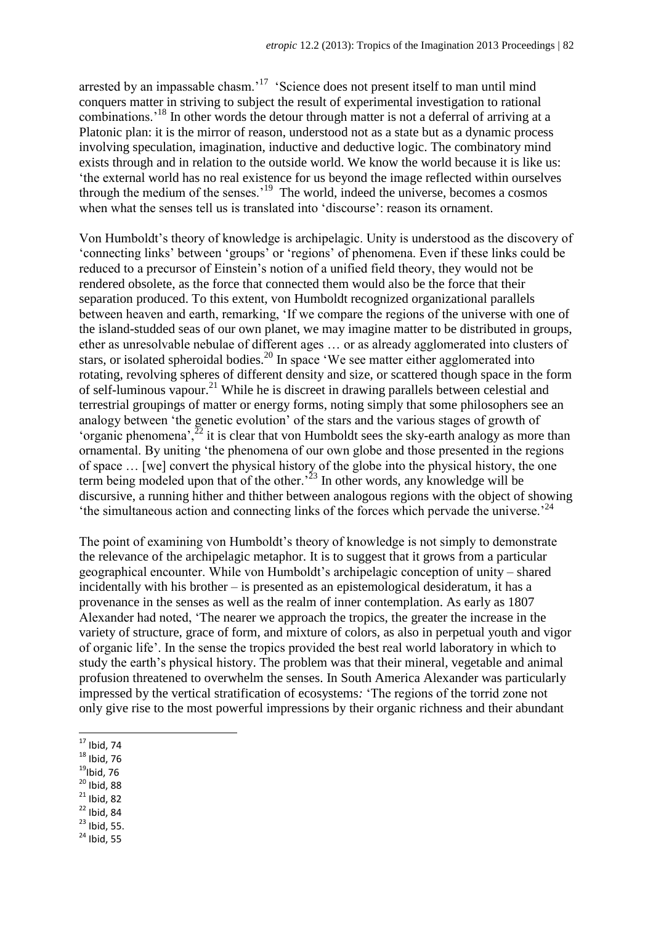arrested by an impassable chasm.<sup>17</sup> 'Science does not present itself to man until mind conquers matter in striving to subject the result of experimental investigation to rational combinations.'<sup>18</sup> In other words the detour through matter is not a deferral of arriving at a Platonic plan: it is the mirror of reason, understood not as a state but as a dynamic process involving speculation, imagination, inductive and deductive logic. The combinatory mind exists through and in relation to the outside world. We know the world because it is like us: 'the external world has no real existence for us beyond the image reflected within ourselves through the medium of the senses.<sup>19</sup> The world, indeed the universe, becomes a cosmos when what the senses tell us is translated into 'discourse': reason its ornament.

Von Humboldt's theory of knowledge is archipelagic. Unity is understood as the discovery of 'connecting links' between 'groups' or 'regions' of phenomena. Even if these links could be reduced to a precursor of Einstein's notion of a unified field theory, they would not be rendered obsolete, as the force that connected them would also be the force that their separation produced. To this extent, von Humboldt recognized organizational parallels between heaven and earth, remarking, 'If we compare the regions of the universe with one of the island-studded seas of our own planet, we may imagine matter to be distributed in groups, ether as unresolvable nebulae of different ages … or as already agglomerated into clusters of stars, or isolated spheroidal bodies.<sup>20</sup> In space 'We see matter either agglomerated into rotating, revolving spheres of different density and size, or scattered though space in the form of self-luminous vapour.<sup>21</sup> While he is discreet in drawing parallels between celestial and terrestrial groupings of matter or energy forms, noting simply that some philosophers see an analogy between 'the genetic evolution' of the stars and the various stages of growth of 'organic phenomena',<sup>22</sup> it is clear that von Humboldt sees the sky-earth analogy as more than ornamental. By uniting 'the phenomena of our own globe and those presented in the regions of space … [we] convert the physical history of the globe into the physical history, the one term being modeled upon that of the other.<sup>523</sup> In other words, any knowledge will be discursive, a running hither and thither between analogous regions with the object of showing 'the simultaneous action and connecting links of the forces which pervade the universe.'<sup>24</sup>

The point of examining von Humboldt's theory of knowledge is not simply to demonstrate the relevance of the archipelagic metaphor. It is to suggest that it grows from a particular geographical encounter. While von Humboldt's archipelagic conception of unity – shared incidentally with his brother – is presented as an epistemological desideratum, it has a provenance in the senses as well as the realm of inner contemplation. As early as 1807 Alexander had noted, 'The nearer we approach the tropics, the greater the increase in the variety of structure, grace of form, and mixture of colors, as also in perpetual youth and vigor of organic life'. In the sense the tropics provided the best real world laboratory in which to study the earth's physical history. The problem was that their mineral, vegetable and animal profusion threatened to overwhelm the senses. In South America Alexander was particularly impressed by the vertical stratification of ecosystems*:* 'The regions of the torrid zone not only give rise to the most powerful impressions by their organic richness and their abundant

- $18$  Ibid, 76
- $^{19}$ Ibid, 76
- $20$  Ibid, 88
- $21$  Ibid, 82
- $^{22}$  Ibid, 84
- $^{1111}$ ,  $^{111}$ ,  $^{111}$
- $24$  Ibid, 55

 $\overline{a}$  $17$  Ibid, 74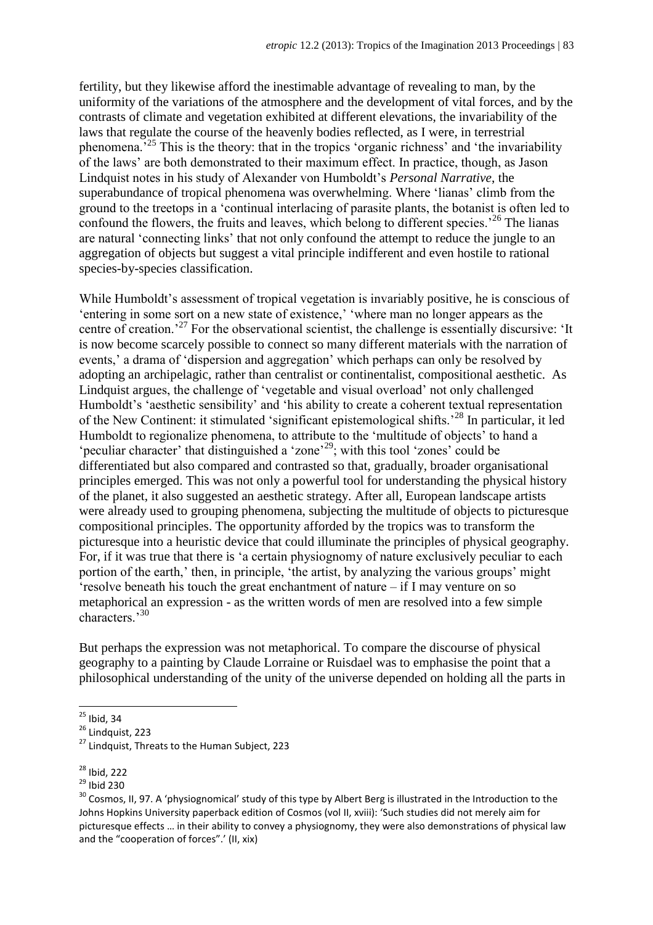fertility, but they likewise afford the inestimable advantage of revealing to man, by the uniformity of the variations of the atmosphere and the development of vital forces, and by the contrasts of climate and vegetation exhibited at different elevations, the invariability of the laws that regulate the course of the heavenly bodies reflected, as I were, in terrestrial phenomena.<sup>25</sup> This is the theory: that in the tropics 'organic richness' and 'the invariability of the laws' are both demonstrated to their maximum effect. In practice, though, as Jason Lindquist notes in his study of Alexander von Humboldt's *Personal Narrative*, the superabundance of tropical phenomena was overwhelming. Where 'lianas' climb from the ground to the treetops in a 'continual interlacing of parasite plants, the botanist is often led to confound the flowers, the fruits and leaves, which belong to different species.<sup> $26$ </sup> The lianas are natural 'connecting links' that not only confound the attempt to reduce the jungle to an aggregation of objects but suggest a vital principle indifferent and even hostile to rational species-by-species classification.

While Humboldt's assessment of tropical vegetation is invariably positive, he is conscious of 'entering in some sort on a new state of existence,' 'where man no longer appears as the centre of creation.'<sup>27</sup> For the observational scientist, the challenge is essentially discursive: 'It is now become scarcely possible to connect so many different materials with the narration of events,' a drama of 'dispersion and aggregation' which perhaps can only be resolved by adopting an archipelagic, rather than centralist or continentalist, compositional aesthetic. As Lindquist argues, the challenge of 'vegetable and visual overload' not only challenged Humboldt's 'aesthetic sensibility' and 'his ability to create a coherent textual representation of the New Continent: it stimulated 'significant epistemological shifts.'<sup>28</sup> In particular, it led Humboldt to regionalize phenomena, to attribute to the 'multitude of objects' to hand a 'peculiar character' that distinguished a 'zone'<sup>29</sup>; with this tool 'zones' could be differentiated but also compared and contrasted so that, gradually, broader organisational principles emerged. This was not only a powerful tool for understanding the physical history of the planet, it also suggested an aesthetic strategy. After all, European landscape artists were already used to grouping phenomena, subjecting the multitude of objects to picturesque compositional principles. The opportunity afforded by the tropics was to transform the picturesque into a heuristic device that could illuminate the principles of physical geography. For, if it was true that there is 'a certain physiognomy of nature exclusively peculiar to each portion of the earth,' then, in principle, 'the artist, by analyzing the various groups' might 'resolve beneath his touch the great enchantment of nature – if I may venture on so metaphorical an expression - as the written words of men are resolved into a few simple characters.'<sup>30</sup>

But perhaps the expression was not metaphorical. To compare the discourse of physical geography to a painting by Claude Lorraine or Ruisdael was to emphasise the point that a philosophical understanding of the unity of the universe depended on holding all the parts in

 $\overline{a}$ <sup>25</sup> Ibid, 34

<sup>&</sup>lt;sup>26</sup> Lindquist, 223

<sup>&</sup>lt;sup>27</sup> Lindquist, Threats to the Human Subject, 223

<sup>28</sup> Ibid, 222

<sup>29</sup> Ibid 230

<sup>&</sup>lt;sup>30</sup> Cosmos, II, 97. A 'physiognomical' study of this type by Albert Berg is illustrated in the Introduction to the Johns Hopkins University paperback edition of Cosmos (vol II, xviii): 'Such studies did not merely aim for picturesque effects … in their ability to convey a physiognomy, they were also demonstrations of physical law and the "cooperation of forces".' (II, xix)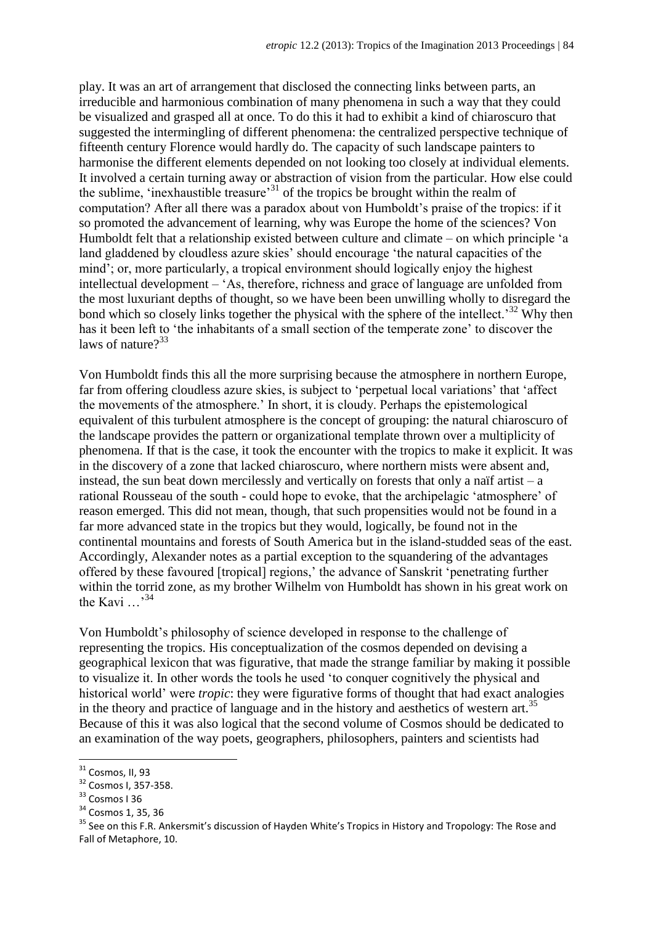play. It was an art of arrangement that disclosed the connecting links between parts, an irreducible and harmonious combination of many phenomena in such a way that they could be visualized and grasped all at once. To do this it had to exhibit a kind of chiaroscuro that suggested the intermingling of different phenomena: the centralized perspective technique of fifteenth century Florence would hardly do. The capacity of such landscape painters to harmonise the different elements depended on not looking too closely at individual elements. It involved a certain turning away or abstraction of vision from the particular. How else could the sublime, 'inexhaustible treasure'<sup>31</sup> of the tropics be brought within the realm of computation? After all there was a paradox about von Humboldt's praise of the tropics: if it so promoted the advancement of learning, why was Europe the home of the sciences? Von Humboldt felt that a relationship existed between culture and climate – on which principle 'a land gladdened by cloudless azure skies' should encourage 'the natural capacities of the mind'; or, more particularly, a tropical environment should logically enjoy the highest intellectual development – 'As, therefore, richness and grace of language are unfolded from the most luxuriant depths of thought, so we have been been unwilling wholly to disregard the bond which so closely links together the physical with the sphere of the intellect.<sup>32</sup> Why then has it been left to 'the inhabitants of a small section of the temperate zone' to discover the laws of nature $2^{33}$ 

Von Humboldt finds this all the more surprising because the atmosphere in northern Europe, far from offering cloudless azure skies, is subject to 'perpetual local variations' that 'affect the movements of the atmosphere.' In short, it is cloudy. Perhaps the epistemological equivalent of this turbulent atmosphere is the concept of grouping: the natural chiaroscuro of the landscape provides the pattern or organizational template thrown over a multiplicity of phenomena. If that is the case, it took the encounter with the tropics to make it explicit. It was in the discovery of a zone that lacked chiaroscuro, where northern mists were absent and, instead, the sun beat down mercilessly and vertically on forests that only a naïf artist  $-$  a rational Rousseau of the south - could hope to evoke, that the archipelagic 'atmosphere' of reason emerged. This did not mean, though, that such propensities would not be found in a far more advanced state in the tropics but they would, logically, be found not in the continental mountains and forests of South America but in the island-studded seas of the east. Accordingly, Alexander notes as a partial exception to the squandering of the advantages offered by these favoured [tropical] regions,' the advance of Sanskrit 'penetrating further within the torrid zone, as my brother Wilhelm von Humboldt has shown in his great work on the Kavi $^{34}$ 

Von Humboldt's philosophy of science developed in response to the challenge of representing the tropics. His conceptualization of the cosmos depended on devising a geographical lexicon that was figurative, that made the strange familiar by making it possible to visualize it. In other words the tools he used 'to conquer cognitively the physical and historical world' were *tropic*: they were figurative forms of thought that had exact analogies in the theory and practice of language and in the history and aesthetics of western art.<sup>35</sup> Because of this it was also logical that the second volume of Cosmos should be dedicated to an examination of the way poets, geographers, philosophers, painters and scientists had

 $\overline{a}$ 

 $31$  Cosmos, II, 93

<sup>32</sup> Cosmos I, 357-358.

<sup>&</sup>lt;sup>33</sup> Cosmos I 36

<sup>&</sup>lt;sup>34</sup> Cosmos 1, 35, 36

<sup>&</sup>lt;sup>35</sup> See on this F.R. Ankersmit's discussion of Hayden White's Tropics in History and Tropology: The Rose and Fall of Metaphore, 10.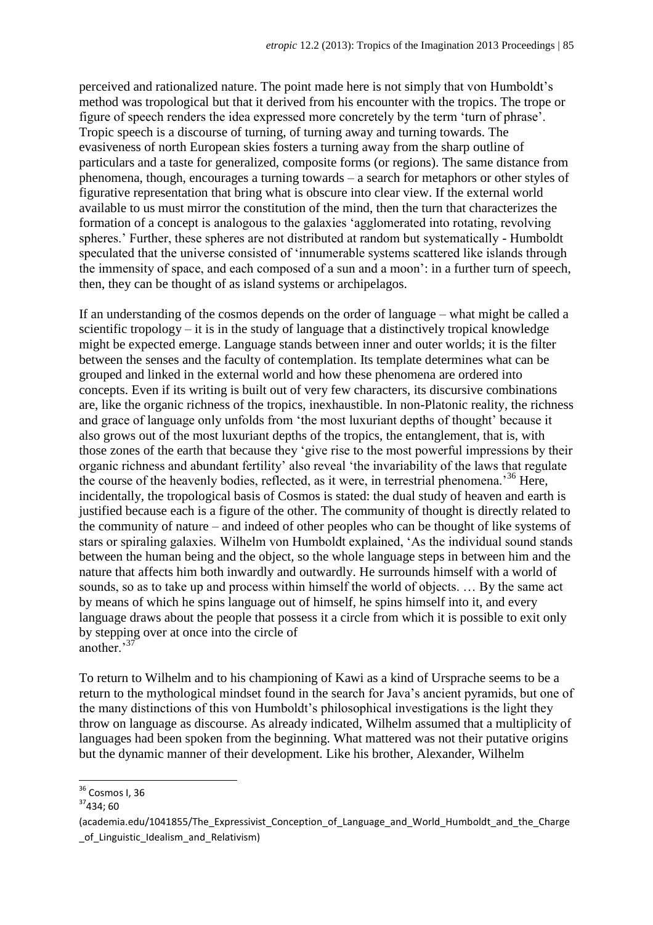perceived and rationalized nature. The point made here is not simply that von Humboldt's method was tropological but that it derived from his encounter with the tropics. The trope or figure of speech renders the idea expressed more concretely by the term 'turn of phrase'. Tropic speech is a discourse of turning, of turning away and turning towards. The evasiveness of north European skies fosters a turning away from the sharp outline of particulars and a taste for generalized, composite forms (or regions). The same distance from phenomena, though, encourages a turning towards – a search for metaphors or other styles of figurative representation that bring what is obscure into clear view. If the external world available to us must mirror the constitution of the mind, then the turn that characterizes the formation of a concept is analogous to the galaxies 'agglomerated into rotating, revolving spheres.' Further, these spheres are not distributed at random but systematically - Humboldt speculated that the universe consisted of 'innumerable systems scattered like islands through the immensity of space, and each composed of a sun and a moon': in a further turn of speech, then, they can be thought of as island systems or archipelagos.

If an understanding of the cosmos depends on the order of language – what might be called a scientific tropology – it is in the study of language that a distinctively tropical knowledge might be expected emerge. Language stands between inner and outer worlds; it is the filter between the senses and the faculty of contemplation. Its template determines what can be grouped and linked in the external world and how these phenomena are ordered into concepts. Even if its writing is built out of very few characters, its discursive combinations are, like the organic richness of the tropics, inexhaustible. In non-Platonic reality, the richness and grace of language only unfolds from 'the most luxuriant depths of thought' because it also grows out of the most luxuriant depths of the tropics, the entanglement, that is, with those zones of the earth that because they 'give rise to the most powerful impressions by their organic richness and abundant fertility' also reveal 'the invariability of the laws that regulate the course of the heavenly bodies, reflected, as it were, in terrestrial phenomena.<sup>36</sup> Here, incidentally, the tropological basis of Cosmos is stated: the dual study of heaven and earth is justified because each is a figure of the other. The community of thought is directly related to the community of nature – and indeed of other peoples who can be thought of like systems of stars or spiraling galaxies. Wilhelm von Humboldt explained, 'As the individual sound stands between the human being and the object, so the whole language steps in between him and the nature that affects him both inwardly and outwardly. He surrounds himself with a world of sounds, so as to take up and process within himself the world of objects. … By the same act by means of which he spins language out of himself, he spins himself into it, and every language draws about the people that possess it a circle from which it is possible to exit only by stepping over at once into the circle of another<sup>37</sup>

To return to Wilhelm and to his championing of Kawi as a kind of Ursprache seems to be a return to the mythological mindset found in the search for Java's ancient pyramids, but one of the many distinctions of this von Humboldt's philosophical investigations is the light they throw on language as discourse. As already indicated, Wilhelm assumed that a multiplicity of languages had been spoken from the beginning. What mattered was not their putative origins but the dynamic manner of their development. Like his brother, Alexander, Wilhelm

 $\overline{\phantom{a}}$ <sup>36</sup> Cosmos I, 36

<sup>37</sup>434; 60

<sup>(</sup>academia.edu/1041855/The\_Expressivist\_Conception\_of\_Language\_and\_World\_Humboldt\_and\_the\_Charge \_of\_Linguistic\_Idealism\_and\_Relativism)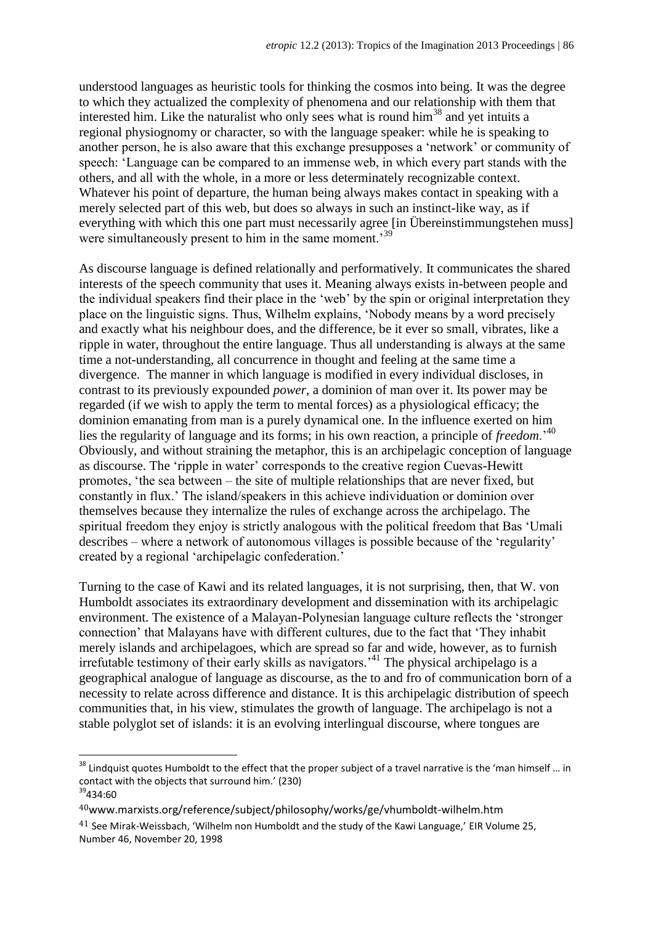understood languages as heuristic tools for thinking the cosmos into being. It was the degree to which they actualized the complexity of phenomena and our relationship with them that interested him. Like the naturalist who only sees what is round him<sup>38</sup> and yet intuits a regional physiognomy or character, so with the language speaker: while he is speaking to another person, he is also aware that this exchange presupposes a 'network' or community of speech: 'Language can be compared to an immense web, in which every part stands with the others, and all with the whole, in a more or less determinately recognizable context. Whatever his point of departure, the human being always makes contact in speaking with a merely selected part of this web, but does so always in such an instinct-like way, as if everything with which this one part must necessarily agree [in Übereinstimmungstehen muss] were simultaneously present to him in the same moment.<sup>39</sup>

As discourse language is defined relationally and performatively. It communicates the shared interests of the speech community that uses it. Meaning always exists in-between people and the individual speakers find their place in the 'web' by the spin or original interpretation they place on the linguistic signs. Thus, Wilhelm explains, 'Nobody means by a word precisely and exactly what his neighbour does, and the difference, be it ever so small, vibrates, like a ripple in water, throughout the entire language. Thus all understanding is always at the same time a not-understanding, all concurrence in thought and feeling at the same time a divergence. The manner in which language is modified in every individual discloses, in contrast to its previously expounded *power,* a dominion of man over it. Its power may be regarded (if we wish to apply the term to mental forces) as a physiological efficacy; the dominion emanating from man is a purely dynamical one. In the influence exerted on him lies the regularity of language and its forms; in his own reaction, a principle of *freedom*.'<sup>40</sup> Obviously, and without straining the metaphor, this is an archipelagic conception of language as discourse. The 'ripple in water' corresponds to the creative region Cuevas-Hewitt promotes, 'the sea between – the site of multiple relationships that are never fixed, but constantly in flux.' The island/speakers in this achieve individuation or dominion over themselves because they internalize the rules of exchange across the archipelago. The spiritual freedom they enjoy is strictly analogous with the political freedom that Bas 'Umali describes – where a network of autonomous villages is possible because of the 'regularity' created by a regional 'archipelagic confederation.'

Turning to the case of Kawi and its related languages, it is not surprising, then, that W. von Humboldt associates its extraordinary development and dissemination with its archipelagic environment. The existence of a Malayan-Polynesian language culture reflects the 'stronger connection' that Malayans have with different cultures, due to the fact that 'They inhabit merely islands and archipelagoes, which are spread so far and wide, however, as to furnish irrefutable testimony of their early skills as navigators.<sup> $41$ </sup> The physical archipelago is a geographical analogue of language as discourse, as the to and fro of communication born of a necessity to relate across difference and distance. It is this archipelagic distribution of speech communities that, in his view, stimulates the growth of language. The archipelago is not a stable polyglot set of islands: it is an evolving interlingual discourse, where tongues are

 $38$  Lindquist quotes Humboldt to the effect that the proper subject of a travel narrative is the 'man himself ... in contact with the objects that surround him.' (230)

<sup>&</sup>lt;sup>39</sup>434:60

<sup>40</sup>www.marxists.org/reference/subject/philosophy/works/ge/vhumboldt-wilhelm.htm

<sup>41</sup> See Mirak-Weissbach, 'Wilhelm non Humboldt and the study of the Kawi Language,' EIR Volume 25, Number 46, November 20, 1998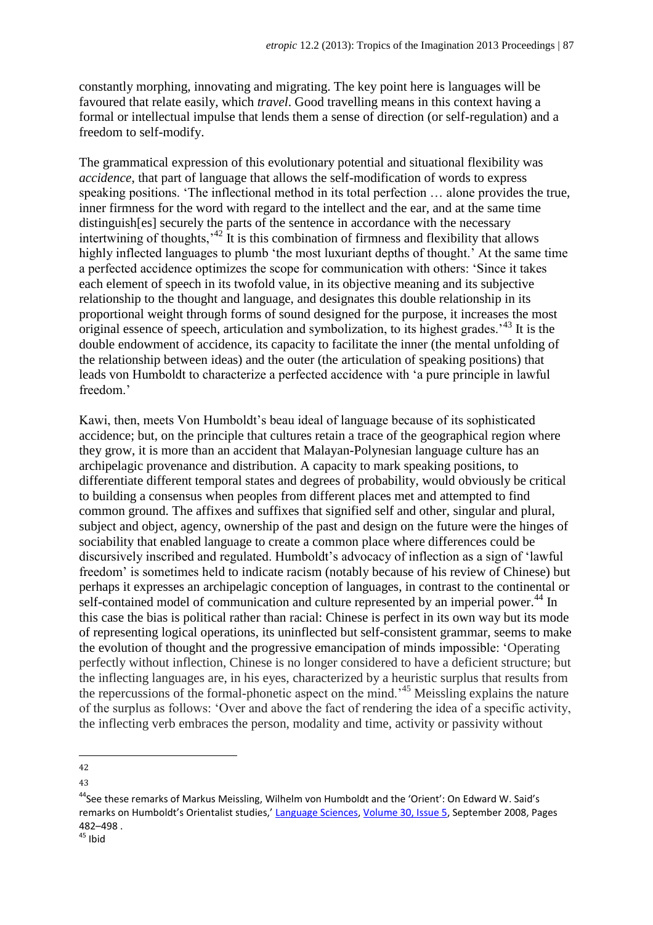constantly morphing, innovating and migrating. The key point here is languages will be favoured that relate easily, which *travel*. Good travelling means in this context having a formal or intellectual impulse that lends them a sense of direction (or self-regulation) and a freedom to self-modify.

The grammatical expression of this evolutionary potential and situational flexibility was *accidence*, that part of language that allows the self-modification of words to express speaking positions. 'The inflectional method in its total perfection … alone provides the true, inner firmness for the word with regard to the intellect and the ear, and at the same time distinguish[es] securely the parts of the sentence in accordance with the necessary intertwining of thoughts,<sup> $32$ </sup> It is this combination of firmness and flexibility that allows highly inflected languages to plumb 'the most luxuriant depths of thought.' At the same time a perfected accidence optimizes the scope for communication with others: 'Since it takes each element of speech in its twofold value, in its objective meaning and its subjective relationship to the thought and language, and designates this double relationship in its proportional weight through forms of sound designed for the purpose, it increases the most original essence of speech, articulation and symbolization, to its highest grades.<sup>43</sup> It is the double endowment of accidence, its capacity to facilitate the inner (the mental unfolding of the relationship between ideas) and the outer (the articulation of speaking positions) that leads von Humboldt to characterize a perfected accidence with 'a pure principle in lawful freedom.'

Kawi, then, meets Von Humboldt's beau ideal of language because of its sophisticated accidence; but, on the principle that cultures retain a trace of the geographical region where they grow, it is more than an accident that Malayan-Polynesian language culture has an archipelagic provenance and distribution. A capacity to mark speaking positions, to differentiate different temporal states and degrees of probability, would obviously be critical to building a consensus when peoples from different places met and attempted to find common ground. The affixes and suffixes that signified self and other, singular and plural, subject and object, agency, ownership of the past and design on the future were the hinges of sociability that enabled language to create a common place where differences could be discursively inscribed and regulated. Humboldt's advocacy of inflection as a sign of 'lawful freedom' is sometimes held to indicate racism (notably because of his review of Chinese) but perhaps it expresses an archipelagic conception of languages, in contrast to the continental or self-contained model of communication and culture represented by an imperial power.<sup>44</sup> In this case the bias is political rather than racial: Chinese is perfect in its own way but its mode of representing logical operations, its uninflected but self-consistent grammar, seems to make the evolution of thought and the progressive emancipation of minds impossible: 'Operating perfectly without inflection, Chinese is no longer considered to have a deficient structure; but the inflecting languages are, in his eyes, characterized by a heuristic surplus that results from the repercussions of the formal-phonetic aspect on the mind.'<sup>45</sup> Meissling explains the nature of the surplus as follows: 'Over and above the fact of rendering the idea of a specific activity, the inflecting verb embraces the person, modality and time, activity or passivity without

43

 $\overline{a}$ 42

<sup>&</sup>lt;sup>44</sup>See these remarks of Markus Meissling, Wilhelm von Humboldt and the 'Orient': On Edward W. Said's remarks on Humboldt's Orientalist studies,' [Language Sciences,](http://www.sciencedirect.com/science/journal/03880001) [Volume 30, Issue 5,](http://www.sciencedirect.com/science/journal/03880001/30/5) September 2008, Pages 482–498 .

 $45$  Ibid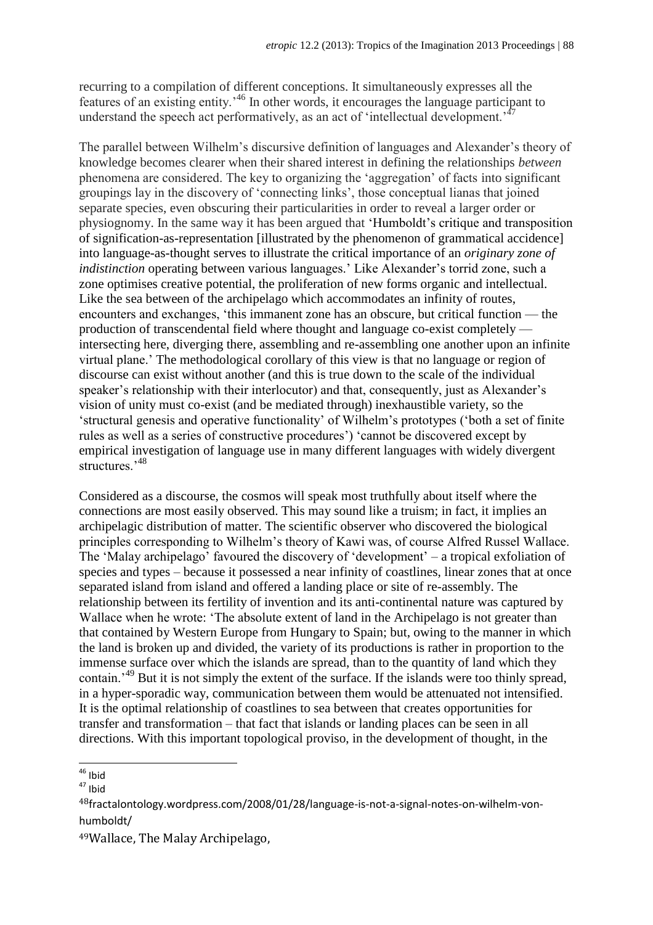recurring to a compilation of different conceptions. It simultaneously expresses all the features of an existing entity.'<sup>46</sup> In other words, it encourages the language participant to understand the speech act performatively, as an act of 'intellectual development.<sup>47</sup>

The parallel between Wilhelm's discursive definition of languages and Alexander's theory of knowledge becomes clearer when their shared interest in defining the relationships *between* phenomena are considered. The key to organizing the 'aggregation' of facts into significant groupings lay in the discovery of 'connecting links', those conceptual lianas that joined separate species, even obscuring their particularities in order to reveal a larger order or physiognomy. In the same way it has been argued that 'Humboldt's critique and transposition of signification-as-representation [illustrated by the phenomenon of grammatical accidence] into language-as-thought serves to illustrate the critical importance of an *originary zone of indistinction* operating between various languages.' Like Alexander's torrid zone, such a zone optimises creative potential, the proliferation of new forms organic and intellectual. Like the sea between of the archipelago which accommodates an infinity of routes, encounters and exchanges, 'this immanent zone has an obscure, but critical function — the production of transcendental field where thought and language co-exist completely intersecting here, diverging there, assembling and re-assembling one another upon an infinite virtual plane.' The methodological corollary of this view is that no language or region of discourse can exist without another (and this is true down to the scale of the individual speaker's relationship with their interlocutor) and that, consequently, just as Alexander's vision of unity must co-exist (and be mediated through) inexhaustible variety, so the 'structural genesis and operative functionality' of Wilhelm's prototypes ('both a set of finite rules as well as a series of constructive procedures') 'cannot be discovered except by empirical investigation of language use in many different languages with widely divergent structures.<sup>48</sup>

Considered as a discourse, the cosmos will speak most truthfully about itself where the connections are most easily observed. This may sound like a truism; in fact, it implies an archipelagic distribution of matter. The scientific observer who discovered the biological principles corresponding to Wilhelm's theory of Kawi was, of course Alfred Russel Wallace. The 'Malay archipelago' favoured the discovery of 'development' – a tropical exfoliation of species and types – because it possessed a near infinity of coastlines, linear zones that at once separated island from island and offered a landing place or site of re-assembly. The relationship between its fertility of invention and its anti-continental nature was captured by Wallace when he wrote: 'The absolute extent of land in the Archipelago is not greater than that contained by Western Europe from Hungary to Spain; but, owing to the manner in which the land is broken up and divided, the variety of its productions is rather in proportion to the immense surface over which the islands are spread, than to the quantity of land which they contain.<sup>49</sup> But it is not simply the extent of the surface. If the islands were too thinly spread, in a hyper-sporadic way, communication between them would be attenuated not intensified. It is the optimal relationship of coastlines to sea between that creates opportunities for transfer and transformation – that fact that islands or landing places can be seen in all directions. With this important topological proviso, in the development of thought, in the

 $\overline{a}$ <sup>46</sup> Ibid

<sup>47</sup> Ibid

<sup>48</sup>fractalontology.wordpress.com/2008/01/28/language-is-not-a-signal-notes-on-wilhelm-vonhumboldt/

<sup>49</sup>Wallace, The Malay Archipelago,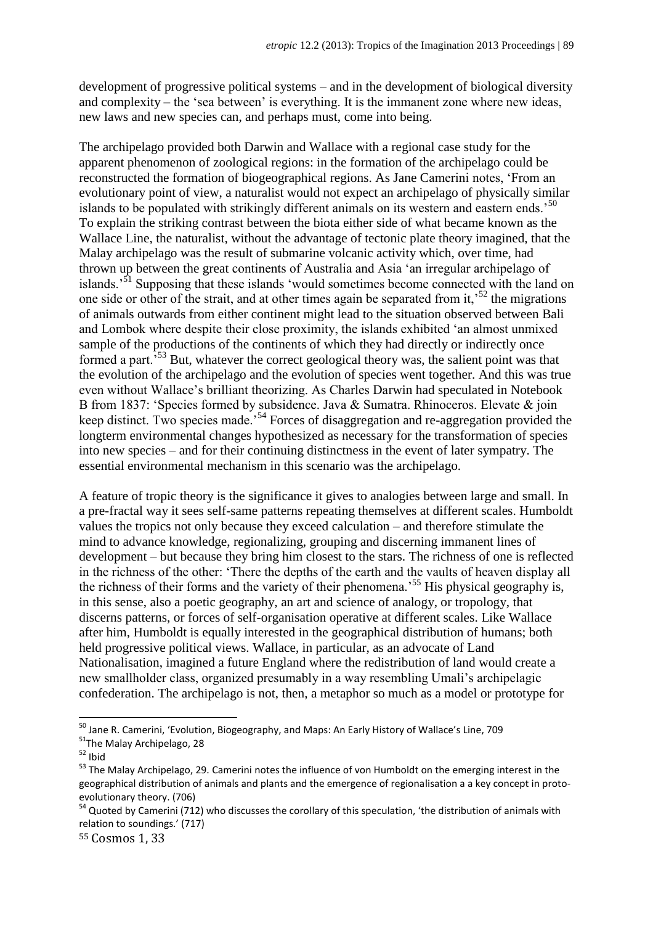development of progressive political systems – and in the development of biological diversity and complexity – the 'sea between' is everything. It is the immanent zone where new ideas, new laws and new species can, and perhaps must, come into being.

The archipelago provided both Darwin and Wallace with a regional case study for the apparent phenomenon of zoological regions: in the formation of the archipelago could be reconstructed the formation of biogeographical regions. As Jane Camerini notes, 'From an evolutionary point of view, a naturalist would not expect an archipelago of physically similar islands to be populated with strikingly different animals on its western and eastern ends.<sup>50</sup> To explain the striking contrast between the biota either side of what became known as the Wallace Line, the naturalist, without the advantage of tectonic plate theory imagined, that the Malay archipelago was the result of submarine volcanic activity which, over time, had thrown up between the great continents of Australia and Asia 'an irregular archipelago of islands.<sup>51</sup> Supposing that these islands 'would sometimes become connected with the land on one side or other of the strait, and at other times again be separated from it,<sup>52</sup> the migrations of animals outwards from either continent might lead to the situation observed between Bali and Lombok where despite their close proximity, the islands exhibited 'an almost unmixed sample of the productions of the continents of which they had directly or indirectly once formed a part.<sup>553</sup> But, whatever the correct geological theory was, the salient point was that the evolution of the archipelago and the evolution of species went together. And this was true even without Wallace's brilliant theorizing. As Charles Darwin had speculated in Notebook B from 1837: 'Species formed by subsidence. Java & Sumatra. Rhinoceros. Elevate & join keep distinct. Two species made.'<sup>54</sup> Forces of disaggregation and re-aggregation provided the longterm environmental changes hypothesized as necessary for the transformation of species into new species – and for their continuing distinctness in the event of later sympatry. The essential environmental mechanism in this scenario was the archipelago.

A feature of tropic theory is the significance it gives to analogies between large and small. In a pre-fractal way it sees self-same patterns repeating themselves at different scales. Humboldt values the tropics not only because they exceed calculation – and therefore stimulate the mind to advance knowledge, regionalizing, grouping and discerning immanent lines of development – but because they bring him closest to the stars. The richness of one is reflected in the richness of the other: 'There the depths of the earth and the vaults of heaven display all the richness of their forms and the variety of their phenomena.'<sup>55</sup> His physical geography is, in this sense, also a poetic geography, an art and science of analogy, or tropology, that discerns patterns, or forces of self-organisation operative at different scales. Like Wallace after him, Humboldt is equally interested in the geographical distribution of humans; both held progressive political views. Wallace, in particular, as an advocate of Land Nationalisation, imagined a future England where the redistribution of land would create a new smallholder class, organized presumably in a way resembling Umali's archipelagic confederation. The archipelago is not, then, a metaphor so much as a model or prototype for

<sup>&</sup>lt;sup>50</sup> Jane R. Camerini, 'Evolution, Biogeography, and Maps: An Early History of Wallace's Line, 709

<sup>&</sup>lt;sup>51</sup>The Malay Archipelago, 28

<sup>52</sup> Ibid

<sup>&</sup>lt;sup>53</sup> The Malay Archipelago, 29. Camerini notes the influence of von Humboldt on the emerging interest in the geographical distribution of animals and plants and the emergence of regionalisation a a key concept in protoevolutionary theory. (706)

<sup>&</sup>lt;sup>54</sup> Quoted by Camerini (712) who discusses the corollary of this speculation, 'the distribution of animals with relation to soundings.' (717)

<sup>55</sup> Cosmos 1, 33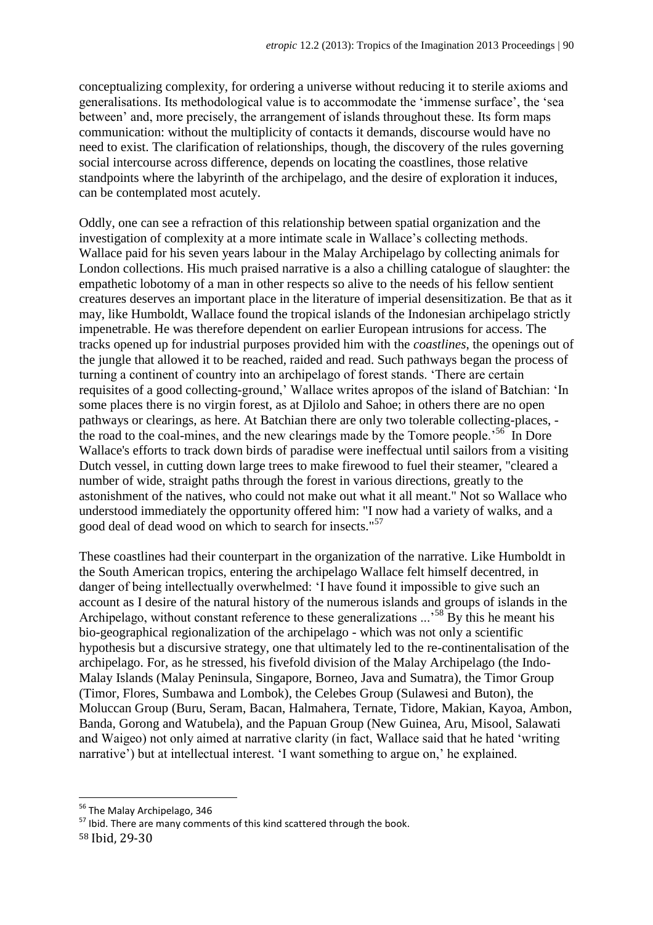conceptualizing complexity, for ordering a universe without reducing it to sterile axioms and generalisations. Its methodological value is to accommodate the 'immense surface', the 'sea between' and, more precisely, the arrangement of islands throughout these. Its form maps communication: without the multiplicity of contacts it demands, discourse would have no need to exist. The clarification of relationships, though, the discovery of the rules governing social intercourse across difference, depends on locating the coastlines, those relative standpoints where the labyrinth of the archipelago, and the desire of exploration it induces, can be contemplated most acutely.

Oddly, one can see a refraction of this relationship between spatial organization and the investigation of complexity at a more intimate scale in Wallace's collecting methods. Wallace paid for his seven years labour in the Malay Archipelago by collecting animals for London collections. His much praised narrative is a also a chilling catalogue of slaughter: the empathetic lobotomy of a man in other respects so alive to the needs of his fellow sentient creatures deserves an important place in the literature of imperial desensitization. Be that as it may, like Humboldt, Wallace found the tropical islands of the Indonesian archipelago strictly impenetrable. He was therefore dependent on earlier European intrusions for access. The tracks opened up for industrial purposes provided him with the *coastlines*, the openings out of the jungle that allowed it to be reached, raided and read. Such pathways began the process of turning a continent of country into an archipelago of forest stands. 'There are certain requisites of a good collecting-ground,' Wallace writes apropos of the island of Batchian: 'In some places there is no virgin forest, as at Djilolo and Sahoe; in others there are no open pathways or clearings, as here. At Batchian there are only two tolerable collecting-places, the road to the coal-mines, and the new clearings made by the Tomore people.<sup>56</sup> In Dore Wallace's efforts to track down birds of paradise were ineffectual until sailors from a visiting Dutch vessel, in cutting down large trees to make firewood to fuel their steamer, "cleared a number of wide, straight paths through the forest in various directions, greatly to the astonishment of the natives, who could not make out what it all meant." Not so Wallace who understood immediately the opportunity offered him: "I now had a variety of walks, and a good deal of dead wood on which to search for insects."<sup>57</sup>

These coastlines had their counterpart in the organization of the narrative. Like Humboldt in the South American tropics, entering the archipelago Wallace felt himself decentred, in danger of being intellectually overwhelmed: 'I have found it impossible to give such an account as I desire of the natural history of the numerous islands and groups of islands in the Archipelago, without constant reference to these generalizations ...<sup>58</sup> By this he meant his bio-geographical regionalization of the archipelago - which was not only a scientific hypothesis but a discursive strategy, one that ultimately led to the re-continentalisation of the archipelago. For, as he stressed, his fivefold division of the Malay Archipelago (the Indo-Malay Islands (Malay Peninsula, Singapore, Borneo, Java and Sumatra), the Timor Group (Timor, Flores, Sumbawa and Lombok), the Celebes Group (Sulawesi and Buton), the Moluccan Group (Buru, Seram, Bacan, Halmahera, Ternate, Tidore, Makian, Kayoa, Ambon, Banda, Gorong and Watubela), and the Papuan Group (New Guinea, Aru, Misool, Salawati and Waigeo) not only aimed at narrative clarity (in fact, Wallace said that he hated 'writing narrative') but at intellectual interest. 'I want something to argue on,' he explained.

<sup>&</sup>lt;sup>56</sup> The Malay Archipelago, 346

<sup>&</sup>lt;sup>57</sup> Ibid. There are many comments of this kind scattered through the book.

<sup>58</sup> Ibid, 29-30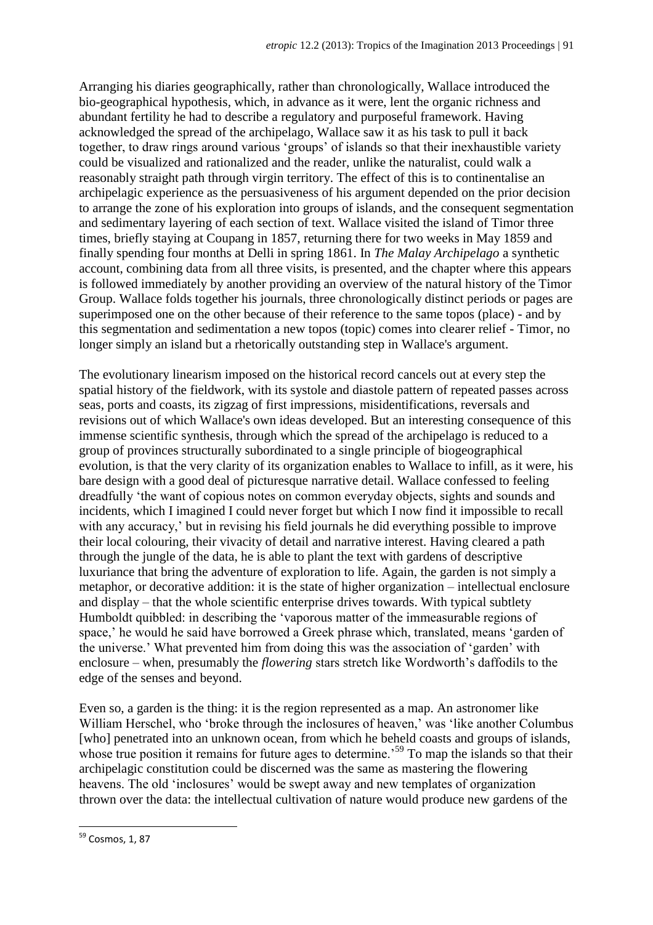Arranging his diaries geographically, rather than chronologically, Wallace introduced the bio-geographical hypothesis, which, in advance as it were, lent the organic richness and abundant fertility he had to describe a regulatory and purposeful framework. Having acknowledged the spread of the archipelago, Wallace saw it as his task to pull it back together, to draw rings around various 'groups' of islands so that their inexhaustible variety could be visualized and rationalized and the reader, unlike the naturalist, could walk a reasonably straight path through virgin territory. The effect of this is to continentalise an archipelagic experience as the persuasiveness of his argument depended on the prior decision to arrange the zone of his exploration into groups of islands, and the consequent segmentation and sedimentary layering of each section of text. Wallace visited the island of Timor three times, briefly staying at Coupang in 1857, returning there for two weeks in May 1859 and finally spending four months at Delli in spring 1861. In *The Malay Archipelago* a synthetic account, combining data from all three visits, is presented, and the chapter where this appears is followed immediately by another providing an overview of the natural history of the Timor Group. Wallace folds together his journals, three chronologically distinct periods or pages are superimposed one on the other because of their reference to the same topos (place) - and by this segmentation and sedimentation a new topos (topic) comes into clearer relief - Timor, no longer simply an island but a rhetorically outstanding step in Wallace's argument.

The evolutionary linearism imposed on the historical record cancels out at every step the spatial history of the fieldwork, with its systole and diastole pattern of repeated passes across seas, ports and coasts, its zigzag of first impressions, misidentifications, reversals and revisions out of which Wallace's own ideas developed. But an interesting consequence of this immense scientific synthesis, through which the spread of the archipelago is reduced to a group of provinces structurally subordinated to a single principle of biogeographical evolution, is that the very clarity of its organization enables to Wallace to infill, as it were, his bare design with a good deal of picturesque narrative detail. Wallace confessed to feeling dreadfully 'the want of copious notes on common everyday objects, sights and sounds and incidents, which I imagined I could never forget but which I now find it impossible to recall with any accuracy,' but in revising his field journals he did everything possible to improve their local colouring, their vivacity of detail and narrative interest. Having cleared a path through the jungle of the data, he is able to plant the text with gardens of descriptive luxuriance that bring the adventure of exploration to life. Again, the garden is not simply a metaphor, or decorative addition: it is the state of higher organization – intellectual enclosure and display – that the whole scientific enterprise drives towards. With typical subtlety Humboldt quibbled: in describing the 'vaporous matter of the immeasurable regions of space,' he would he said have borrowed a Greek phrase which, translated, means 'garden of the universe.' What prevented him from doing this was the association of 'garden' with enclosure – when, presumably the *flowering* stars stretch like Wordworth's daffodils to the edge of the senses and beyond.

Even so, a garden is the thing: it is the region represented as a map. An astronomer like William Herschel, who 'broke through the inclosures of heaven,' was 'like another Columbus [who] penetrated into an unknown ocean, from which he beheld coasts and groups of islands, whose true position it remains for future ages to determine.<sup>59</sup> To map the islands so that their archipelagic constitution could be discerned was the same as mastering the flowering heavens. The old 'inclosures' would be swept away and new templates of organization thrown over the data: the intellectual cultivation of nature would produce new gardens of the

 $\overline{\phantom{a}}$ <sup>59</sup> Cosmos, 1, 87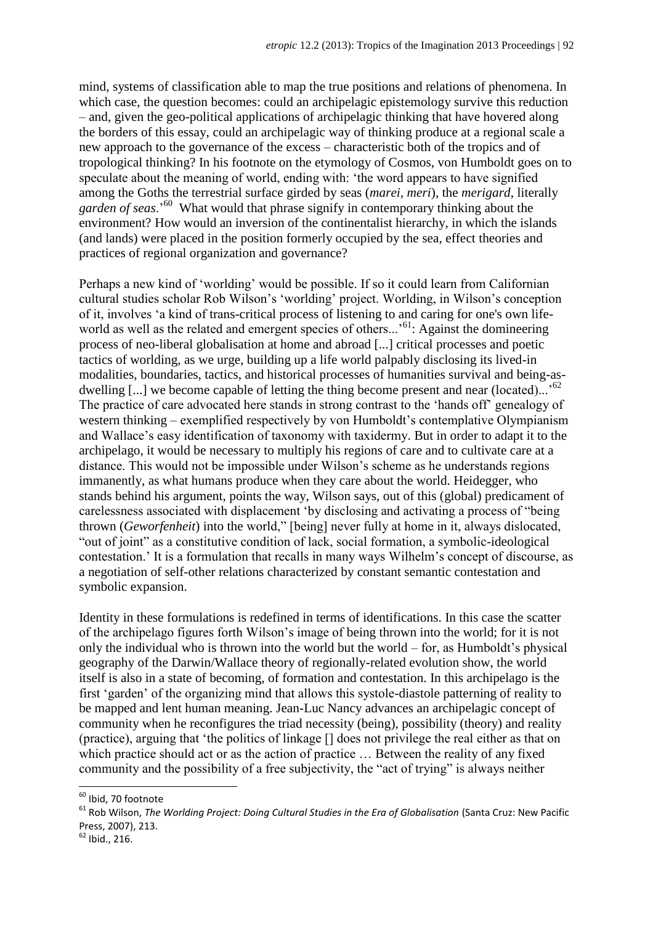mind, systems of classification able to map the true positions and relations of phenomena. In which case, the question becomes: could an archipelagic epistemology survive this reduction – and, given the geo-political applications of archipelagic thinking that have hovered along the borders of this essay, could an archipelagic way of thinking produce at a regional scale a new approach to the governance of the excess – characteristic both of the tropics and of tropological thinking? In his footnote on the etymology of Cosmos, von Humboldt goes on to speculate about the meaning of world, ending with: 'the word appears to have signified among the Goths the terrestrial surface girded by seas (*marei, meri*), the *merigard*, literally garden of seas.<sup>'60</sup> What would that phrase signify in contemporary thinking about the environment? How would an inversion of the continentalist hierarchy, in which the islands (and lands) were placed in the position formerly occupied by the sea, effect theories and practices of regional organization and governance?

Perhaps a new kind of 'worlding' would be possible. If so it could learn from Californian cultural studies scholar Rob Wilson's 'worlding' project. Worlding, in Wilson's conception of it, involves 'a kind of trans-critical process of listening to and caring for one's own lifeworld as well as the related and emergent species of others...<sup>'61</sup>: Against the domineering process of neo-liberal globalisation at home and abroad [...] critical processes and poetic tactics of worlding, as we urge, building up a life world palpably disclosing its lived-in modalities, boundaries, tactics, and historical processes of humanities survival and being-asdwelling [...] we become capable of letting the thing become present and near (located)...<sup>52</sup> The practice of care advocated here stands in strong contrast to the 'hands off' genealogy of western thinking – exemplified respectively by von Humboldt's contemplative Olympianism and Wallace's easy identification of taxonomy with taxidermy. But in order to adapt it to the archipelago, it would be necessary to multiply his regions of care and to cultivate care at a distance. This would not be impossible under Wilson's scheme as he understands regions immanently, as what humans produce when they care about the world. Heidegger, who stands behind his argument, points the way, Wilson says, out of this (global) predicament of carelessness associated with displacement 'by disclosing and activating a process of "being thrown (*Geworfenheit*) into the world," [being] never fully at home in it, always dislocated, "out of joint" as a constitutive condition of lack, social formation, a symbolic-ideological contestation.' It is a formulation that recalls in many ways Wilhelm's concept of discourse, as a negotiation of self-other relations characterized by constant semantic contestation and symbolic expansion.

Identity in these formulations is redefined in terms of identifications. In this case the scatter of the archipelago figures forth Wilson's image of being thrown into the world; for it is not only the individual who is thrown into the world but the world – for, as Humboldt's physical geography of the Darwin/Wallace theory of regionally-related evolution show, the world itself is also in a state of becoming, of formation and contestation. In this archipelago is the first 'garden' of the organizing mind that allows this systole-diastole patterning of reality to be mapped and lent human meaning. Jean-Luc Nancy advances an archipelagic concept of community when he reconfigures the triad necessity (being), possibility (theory) and reality (practice), arguing that 'the politics of linkage [] does not privilege the real either as that on which practice should act or as the action of practice … Between the reality of any fixed community and the possibility of a free subjectivity, the "act of trying" is always neither

<sup>&</sup>lt;sup>60</sup> Ibid, 70 footnote

<sup>&</sup>lt;sup>61</sup> Rob Wilson, *The Worlding Project: Doing Cultural Studies in the Era of Globalisation (Santa Cruz: New Pacific* Press, 2007), 213.

 $62$  Ibid., 216.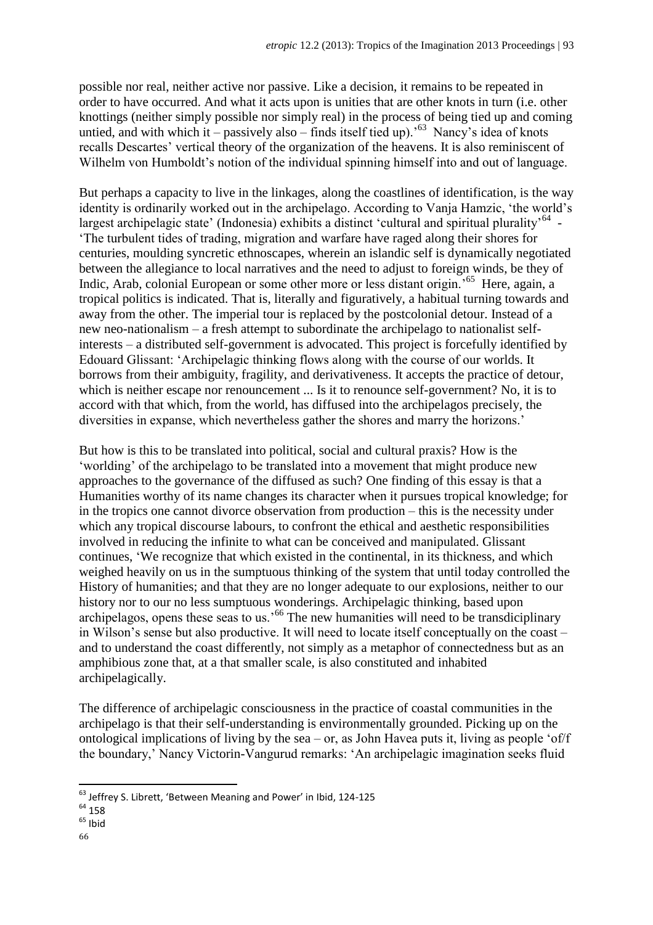possible nor real, neither active nor passive. Like a decision, it remains to be repeated in order to have occurred. And what it acts upon is unities that are other knots in turn (i.e. other knottings (neither simply possible nor simply real) in the process of being tied up and coming untied, and with which it – passively also – finds itself tied up).<sup>553</sup> Nancy's idea of knots recalls Descartes' vertical theory of the organization of the heavens. It is also reminiscent of Wilhelm von Humboldt's notion of the individual spinning himself into and out of language.

But perhaps a capacity to live in the linkages, along the coastlines of identification, is the way identity is ordinarily worked out in the archipelago. According to Vanja Hamzic, 'the world's largest archipelagic state' (Indonesia) exhibits a distinct 'cultural and spiritual plurality'<sup>64</sup> -'The turbulent tides of trading, migration and warfare have raged along their shores for centuries, moulding syncretic ethnoscapes, wherein an islandic self is dynamically negotiated between the allegiance to local narratives and the need to adjust to foreign winds, be they of Indic, Arab, colonial European or some other more or less distant origin.<sup>'65</sup> Here, again, a tropical politics is indicated. That is, literally and figuratively, a habitual turning towards and away from the other. The imperial tour is replaced by the postcolonial detour. Instead of a new neo-nationalism – a fresh attempt to subordinate the archipelago to nationalist selfinterests – a distributed self-government is advocated. This project is forcefully identified by Edouard Glissant: 'Archipelagic thinking flows along with the course of our worlds. It borrows from their ambiguity, fragility, and derivativeness. It accepts the practice of detour, which is neither escape nor renouncement ... Is it to renounce self-government? No, it is to accord with that which, from the world, has diffused into the archipelagos precisely, the diversities in expanse, which nevertheless gather the shores and marry the horizons.'

But how is this to be translated into political, social and cultural praxis? How is the 'worlding' of the archipelago to be translated into a movement that might produce new approaches to the governance of the diffused as such? One finding of this essay is that a Humanities worthy of its name changes its character when it pursues tropical knowledge; for in the tropics one cannot divorce observation from production – this is the necessity under which any tropical discourse labours, to confront the ethical and aesthetic responsibilities involved in reducing the infinite to what can be conceived and manipulated. Glissant continues, 'We recognize that which existed in the continental, in its thickness, and which weighed heavily on us in the sumptuous thinking of the system that until today controlled the History of humanities; and that they are no longer adequate to our explosions, neither to our history nor to our no less sumptuous wonderings. Archipelagic thinking, based upon archipelagos, opens these seas to us.'<sup>66</sup> The new humanities will need to be transdiciplinary in Wilson's sense but also productive. It will need to locate itself conceptually on the coast – and to understand the coast differently, not simply as a metaphor of connectedness but as an amphibious zone that, at a that smaller scale, is also constituted and inhabited archipelagically.

The difference of archipelagic consciousness in the practice of coastal communities in the archipelago is that their self-understanding is environmentally grounded. Picking up on the ontological implications of living by the sea – or, as John Havea puts it, living as people 'of/f the boundary,' Nancy Victorin-Vangurud remarks: 'An archipelagic imagination seeks fluid

66

<sup>&</sup>lt;sup>63</sup> Jeffrey S. Librett, 'Between Meaning and Power' in Ibid, 124-125

 $64$  158

 $65$  Ibid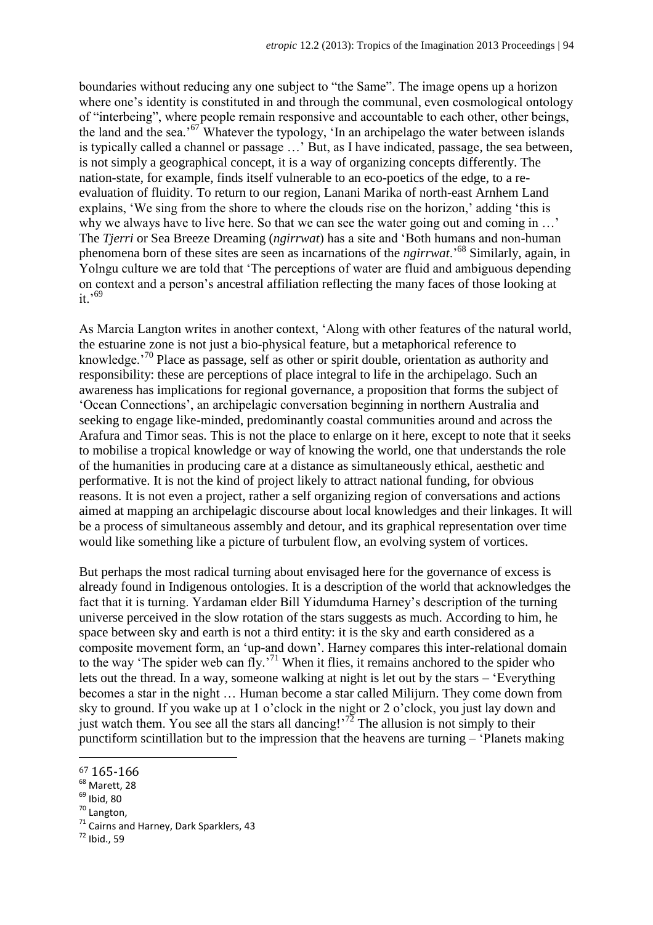boundaries without reducing any one subject to "the Same". The image opens up a horizon where one's identity is constituted in and through the communal, even cosmological ontology of "interbeing", where people remain responsive and accountable to each other, other beings, the land and the sea.'<sup>67</sup> Whatever the typology, 'In an archipelago the water between islands is typically called a channel or passage …' But, as I have indicated, passage, the sea between, is not simply a geographical concept, it is a way of organizing concepts differently. The nation-state, for example, finds itself vulnerable to an eco-poetics of the edge, to a reevaluation of fluidity. To return to our region, Lanani Marika of north-east Arnhem Land explains, 'We sing from the shore to where the clouds rise on the horizon,' adding 'this is why we always have to live here. So that we can see the water going out and coming in ...' The *Tjerri* or Sea Breeze Dreaming (*ngirrwat*) has a site and 'Both humans and non-human phenomena born of these sites are seen as incarnations of the *ngirrwat*.'<sup>68</sup> Similarly, again, in Yolngu culture we are told that 'The perceptions of water are fluid and ambiguous depending on context and a person's ancestral affiliation reflecting the many faces of those looking at it.<sup>569</sup>

As Marcia Langton writes in another context, 'Along with other features of the natural world, the estuarine zone is not just a bio-physical feature, but a metaphorical reference to knowledge.'<sup>70</sup> Place as passage, self as other or spirit double, orientation as authority and responsibility: these are perceptions of place integral to life in the archipelago. Such an awareness has implications for regional governance, a proposition that forms the subject of 'Ocean Connections', an archipelagic conversation beginning in northern Australia and seeking to engage like-minded, predominantly coastal communities around and across the Arafura and Timor seas. This is not the place to enlarge on it here, except to note that it seeks to mobilise a tropical knowledge or way of knowing the world, one that understands the role of the humanities in producing care at a distance as simultaneously ethical, aesthetic and performative. It is not the kind of project likely to attract national funding, for obvious reasons. It is not even a project, rather a self organizing region of conversations and actions aimed at mapping an archipelagic discourse about local knowledges and their linkages. It will be a process of simultaneous assembly and detour, and its graphical representation over time would like something like a picture of turbulent flow, an evolving system of vortices.

But perhaps the most radical turning about envisaged here for the governance of excess is already found in Indigenous ontologies. It is a description of the world that acknowledges the fact that it is turning. Yardaman elder Bill Yidumduma Harney's description of the turning universe perceived in the slow rotation of the stars suggests as much. According to him, he space between sky and earth is not a third entity: it is the sky and earth considered as a composite movement form, an 'up-and down'. Harney compares this inter-relational domain to the way 'The spider web can fly.<sup>'71</sup> When it flies, it remains anchored to the spider who lets out the thread. In a way, someone walking at night is let out by the stars – 'Everything becomes a star in the night … Human become a star called Milijurn. They come down from sky to ground. If you wake up at 1 o'clock in the night or 2 o'clock, you just lay down and just watch them. You see all the stars all dancing!<sup>'72</sup> The allusion is not simply to their punctiform scintillation but to the impression that the heavens are turning – 'Planets making

- <sup>68</sup> Marett, 28
- $69$  Ibid, 80

 $\overline{\phantom{a}}$ 

<sup>70</sup> Langton,

<sup>72</sup> Ibid., 59

<sup>67</sup> 165-166

<sup>&</sup>lt;sup>71</sup> Cairns and Harney, Dark Sparklers, 43